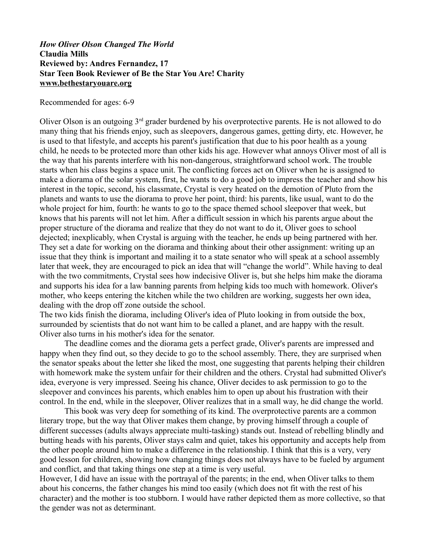## *How Oliver Olson Changed The World* **Claudia Mills Reviewed by: Andres Fernandez, 17 Star Teen Book Reviewer of Be the Star You Are! Charity [www.bethestaryouare.org](http://www.bethestaryouare.org/)**

Recommended for ages: 6-9

Oliver Olson is an outgoing  $3<sup>rd</sup>$  grader burdened by his overprotective parents. He is not allowed to do many thing that his friends enjoy, such as sleepovers, dangerous games, getting dirty, etc. However, he is used to that lifestyle, and accepts his parent's justification that due to his poor health as a young child, he needs to be protected more than other kids his age. However what annoys Oliver most of all is the way that his parents interfere with his non-dangerous, straightforward school work. The trouble starts when his class begins a space unit. The conflicting forces act on Oliver when he is assigned to make a diorama of the solar system, first, he wants to do a good job to impress the teacher and show his interest in the topic, second, his classmate, Crystal is very heated on the demotion of Pluto from the planets and wants to use the diorama to prove her point, third: his parents, like usual, want to do the whole project for him, fourth: he wants to go to the space themed school sleepover that week, but knows that his parents will not let him. After a difficult session in which his parents argue about the proper structure of the diorama and realize that they do not want to do it, Oliver goes to school dejected; inexplicably, when Crystal is arguing with the teacher, he ends up being partnered with her. They set a date for working on the diorama and thinking about their other assignment: writing up an issue that they think is important and mailing it to a state senator who will speak at a school assembly later that week, they are encouraged to pick an idea that will "change the world". While having to deal with the two commitments, Crystal sees how indecisive Oliver is, but she helps him make the diorama and supports his idea for a law banning parents from helping kids too much with homework. Oliver's mother, who keeps entering the kitchen while the two children are working, suggests her own idea, dealing with the drop off zone outside the school.

The two kids finish the diorama, including Oliver's idea of Pluto looking in from outside the box, surrounded by scientists that do not want him to be called a planet, and are happy with the result. Oliver also turns in his mother's idea for the senator.

The deadline comes and the diorama gets a perfect grade, Oliver's parents are impressed and happy when they find out, so they decide to go to the school assembly. There, they are surprised when the senator speaks about the letter she liked the most, one suggesting that parents helping their children with homework make the system unfair for their children and the others. Crystal had submitted Oliver's idea, everyone is very impressed. Seeing his chance, Oliver decides to ask permission to go to the sleepover and convinces his parents, which enables him to open up about his frustration with their control. In the end, while in the sleepover, Oliver realizes that in a small way, he did change the world.

This book was very deep for something of its kind. The overprotective parents are a common literary trope, but the way that Oliver makes them change, by proving himself through a couple of different successes (adults always appreciate multi-tasking) stands out. Instead of rebelling blindly and butting heads with his parents, Oliver stays calm and quiet, takes his opportunity and accepts help from the other people around him to make a difference in the relationship. I think that this is a very, very good lesson for children, showing how changing things does not always have to be fueled by argument and conflict, and that taking things one step at a time is very useful.

However, I did have an issue with the portrayal of the parents; in the end, when Oliver talks to them about his concerns, the father changes his mind too easily (which does not fit with the rest of his character) and the mother is too stubborn. I would have rather depicted them as more collective, so that the gender was not as determinant.